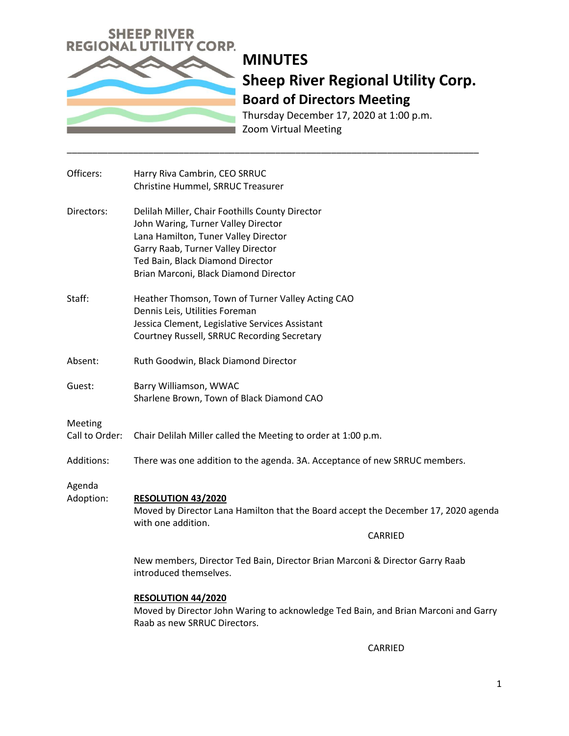

Thursday December 17, 2020 at 1:00 p.m. Zoom Virtual Meeting

| Officers:                 | Harry Riva Cambrin, CEO SRRUC<br>Christine Hummel, SRRUC Treasurer                                                                                                                                                                                |
|---------------------------|---------------------------------------------------------------------------------------------------------------------------------------------------------------------------------------------------------------------------------------------------|
| Directors:                | Delilah Miller, Chair Foothills County Director<br>John Waring, Turner Valley Director<br>Lana Hamilton, Tuner Valley Director<br>Garry Raab, Turner Valley Director<br>Ted Bain, Black Diamond Director<br>Brian Marconi, Black Diamond Director |
| Staff:                    | Heather Thomson, Town of Turner Valley Acting CAO<br>Dennis Leis, Utilities Foreman<br>Jessica Clement, Legislative Services Assistant<br>Courtney Russell, SRRUC Recording Secretary                                                             |
| Absent:                   | Ruth Goodwin, Black Diamond Director                                                                                                                                                                                                              |
| Guest:                    | Barry Williamson, WWAC<br>Sharlene Brown, Town of Black Diamond CAO                                                                                                                                                                               |
| Meeting<br>Call to Order: | Chair Delilah Miller called the Meeting to order at 1:00 p.m.                                                                                                                                                                                     |
| Additions:                | There was one addition to the agenda. 3A. Acceptance of new SRRUC members.                                                                                                                                                                        |
| Agenda<br>Adoption:       | <b>RESOLUTION 43/2020</b><br>Moved by Director Lana Hamilton that the Board accept the December 17, 2020 agenda<br>with one addition.<br>CARRIED                                                                                                  |
|                           | New members, Director Ted Bain, Director Brian Marconi & Director Garry Raab<br>introduced themselves.                                                                                                                                            |
|                           | <b>RESOLUTION 44/2020</b><br>Moved by Director John Waring to acknowledge Ted Bain, and Brian Marconi and Garry<br>Raab as new SRRUC Directors.                                                                                                   |
|                           | CARRIED                                                                                                                                                                                                                                           |

\_\_\_\_\_\_\_\_\_\_\_\_\_\_\_\_\_\_\_\_\_\_\_\_\_\_\_\_\_\_\_\_\_\_\_\_\_\_\_\_\_\_\_\_\_\_\_\_\_\_\_\_\_\_\_\_\_\_\_\_\_\_\_\_\_\_\_\_\_\_\_\_\_\_\_\_\_\_\_\_\_

1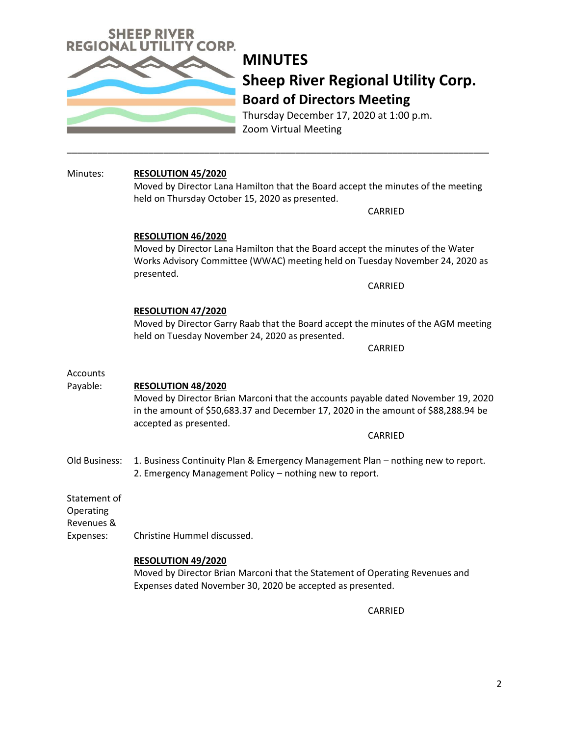

Thursday December 17, 2020 at 1:00 p.m. Zoom Virtual Meeting

# Minutes: **RESOLUTION 45/2020**

Moved by Director Lana Hamilton that the Board accept the minutes of the meeting held on Thursday October 15, 2020 as presented.

\_\_\_\_\_\_\_\_\_\_\_\_\_\_\_\_\_\_\_\_\_\_\_\_\_\_\_\_\_\_\_\_\_\_\_\_\_\_\_\_\_\_\_\_\_\_\_\_\_\_\_\_\_\_\_\_\_\_\_\_\_\_\_\_\_\_\_\_\_\_\_\_\_\_\_\_\_\_\_\_\_\_\_

CARRIED

## **RESOLUTION 46/2020**

Moved by Director Lana Hamilton that the Board accept the minutes of the Water Works Advisory Committee (WWAC) meeting held on Tuesday November 24, 2020 as presented.

CARRIED

## **RESOLUTION 47/2020**

Moved by Director Garry Raab that the Board accept the minutes of the AGM meeting held on Tuesday November 24, 2020 as presented.

CARRIED

## Accounts

# Payable: **RESOLUTION 48/2020** Moved by Director Brian Marconi that the accounts payable dated November 19, 2020 in the amount of \$50,683.37 and December 17, 2020 in the amount of \$88,288.94 be accepted as presented. CARRIED Old Business: 1. Business Continuity Plan & Emergency Management Plan – nothing new to report. 2. Emergency Management Policy – nothing new to report. Statement of Operating Revenues & Expenses: Christine Hummel discussed.

### **RESOLUTION 49/2020**

Moved by Director Brian Marconi that the Statement of Operating Revenues and Expenses dated November 30, 2020 be accepted as presented.

CARRIED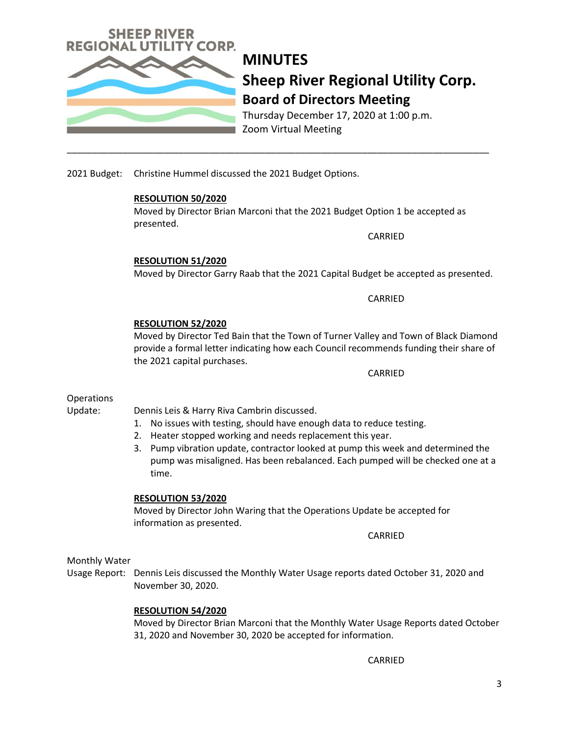

Thursday December 17, 2020 at 1:00 p.m. Zoom Virtual Meeting

2021 Budget: Christine Hummel discussed the 2021 Budget Options.

### **RESOLUTION 50/2020**

Moved by Director Brian Marconi that the 2021 Budget Option 1 be accepted as presented.

\_\_\_\_\_\_\_\_\_\_\_\_\_\_\_\_\_\_\_\_\_\_\_\_\_\_\_\_\_\_\_\_\_\_\_\_\_\_\_\_\_\_\_\_\_\_\_\_\_\_\_\_\_\_\_\_\_\_\_\_\_\_\_\_\_\_\_\_\_\_\_\_\_\_\_\_\_\_\_\_\_\_\_

CARRIED

**RESOLUTION 51/2020**

Moved by Director Garry Raab that the 2021 Capital Budget be accepted as presented.

CARRIED

### **RESOLUTION 52/2020**

Moved by Director Ted Bain that the Town of Turner Valley and Town of Black Diamond provide a formal letter indicating how each Council recommends funding their share of the 2021 capital purchases.

CARRIED

### **Operations**

Update: Dennis Leis & Harry Riva Cambrin discussed.

- 1. No issues with testing, should have enough data to reduce testing.
- 2. Heater stopped working and needs replacement this year.
- 3. Pump vibration update, contractor looked at pump this week and determined the pump was misaligned. Has been rebalanced. Each pumped will be checked one at a time.

#### **RESOLUTION 53/2020**

Moved by Director John Waring that the Operations Update be accepted for information as presented.

CARRIED

#### Monthly Water

Usage Report: Dennis Leis discussed the Monthly Water Usage reports dated October 31, 2020 and November 30, 2020.

#### **RESOLUTION 54/2020**

Moved by Director Brian Marconi that the Monthly Water Usage Reports dated October 31, 2020 and November 30, 2020 be accepted for information.

CARRIED